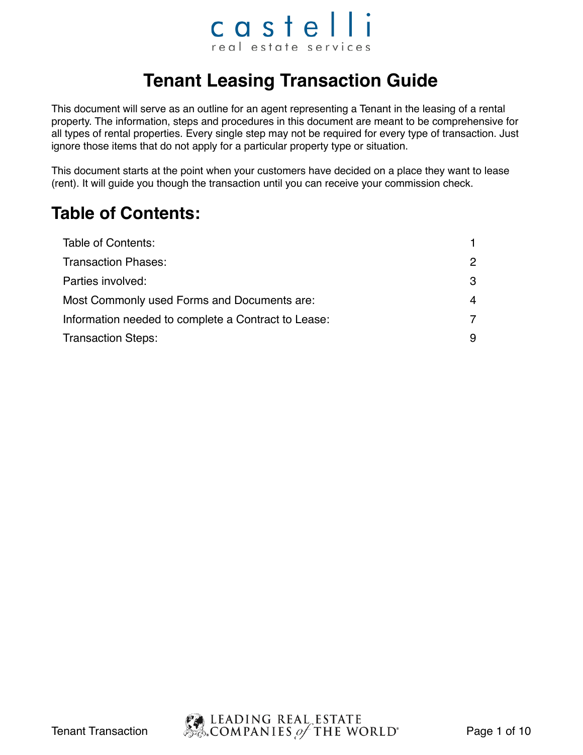### castelli real estate services

### **Tenant Leasing Transaction Guide**

This document will serve as an outline for an agent representing a Tenant in the leasing of a rental property. The information, steps and procedures in this document are meant to be comprehensive for all types of rental properties. Every single step may not be required for every type of transaction. Just ignore those items that do not apply for a particular property type or situation.

This document starts at the point when your customers have decided on a place they want to lease (rent). It will guide you though the transaction until you can receive your commission check.

#### **Table of Contents:**

| Table of Contents:                                  |    |
|-----------------------------------------------------|----|
| <b>Transaction Phases:</b>                          | 2  |
| Parties involved:                                   | -3 |
| Most Commonly used Forms and Documents are:         | 4  |
| Information needed to complete a Contract to Lease: | 7  |
| <b>Transaction Steps:</b>                           | 9  |

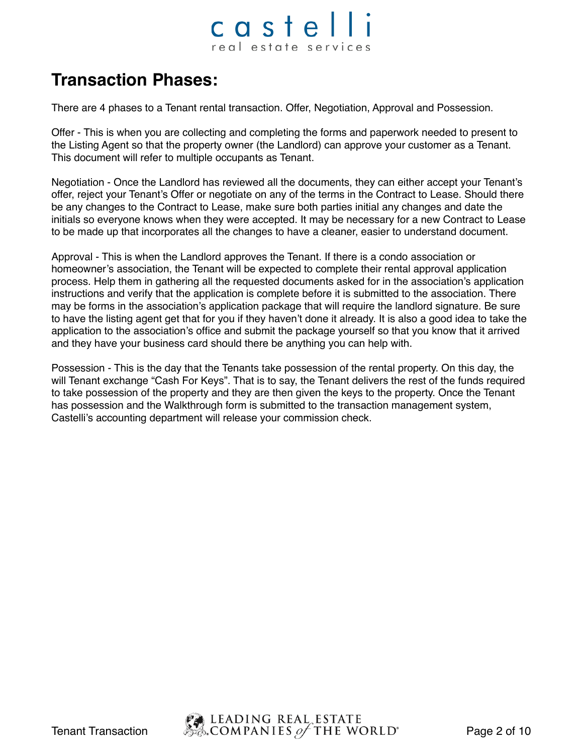### castelli real estate services

#### **Transaction Phases:**

There are 4 phases to a Tenant rental transaction. Offer, Negotiation, Approval and Possession.

Offer - This is when you are collecting and completing the forms and paperwork needed to present to the Listing Agent so that the property owner (the Landlord) can approve your customer as a Tenant. This document will refer to multiple occupants as Tenant.

Negotiation - Once the Landlord has reviewed all the documents, they can either accept your Tenant's offer, reject your Tenant's Offer or negotiate on any of the terms in the Contract to Lease. Should there be any changes to the Contract to Lease, make sure both parties initial any changes and date the initials so everyone knows when they were accepted. It may be necessary for a new Contract to Lease to be made up that incorporates all the changes to have a cleaner, easier to understand document.

Approval - This is when the Landlord approves the Tenant. If there is a condo association or homeowner's association, the Tenant will be expected to complete their rental approval application process. Help them in gathering all the requested documents asked for in the association's application instructions and verify that the application is complete before it is submitted to the association. There may be forms in the association's application package that will require the landlord signature. Be sure to have the listing agent get that for you if they haven't done it already. It is also a good idea to take the application to the association's office and submit the package yourself so that you know that it arrived and they have your business card should there be anything you can help with.

Possession - This is the day that the Tenants take possession of the rental property. On this day, the will Tenant exchange "Cash For Keys". That is to say, the Tenant delivers the rest of the funds required to take possession of the property and they are then given the keys to the property. Once the Tenant has possession and the Walkthrough form is submitted to the transaction management system, Castelli's accounting department will release your commission check.

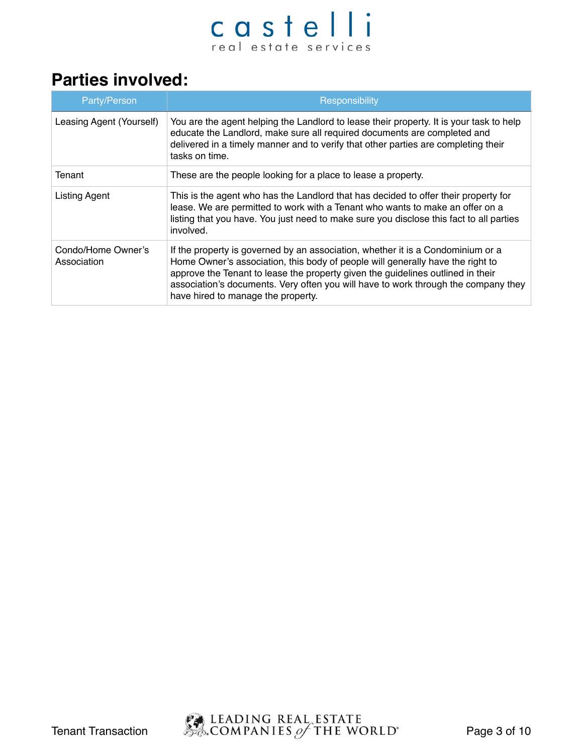#### **Parties involved:**

| Party/Person                      | Responsibility                                                                                                                                                                                                                                                                                                                                                                   |
|-----------------------------------|----------------------------------------------------------------------------------------------------------------------------------------------------------------------------------------------------------------------------------------------------------------------------------------------------------------------------------------------------------------------------------|
| Leasing Agent (Yourself)          | You are the agent helping the Landlord to lease their property. It is your task to help<br>educate the Landlord, make sure all required documents are completed and<br>delivered in a timely manner and to verify that other parties are completing their<br>tasks on time.                                                                                                      |
| Tenant                            | These are the people looking for a place to lease a property.                                                                                                                                                                                                                                                                                                                    |
| <b>Listing Agent</b>              | This is the agent who has the Landlord that has decided to offer their property for<br>lease. We are permitted to work with a Tenant who wants to make an offer on a<br>listing that you have. You just need to make sure you disclose this fact to all parties<br>involved.                                                                                                     |
| Condo/Home Owner's<br>Association | If the property is governed by an association, whether it is a Condominium or a<br>Home Owner's association, this body of people will generally have the right to<br>approve the Tenant to lease the property given the guidelines outlined in their<br>association's documents. Very often you will have to work through the company they<br>have hired to manage the property. |

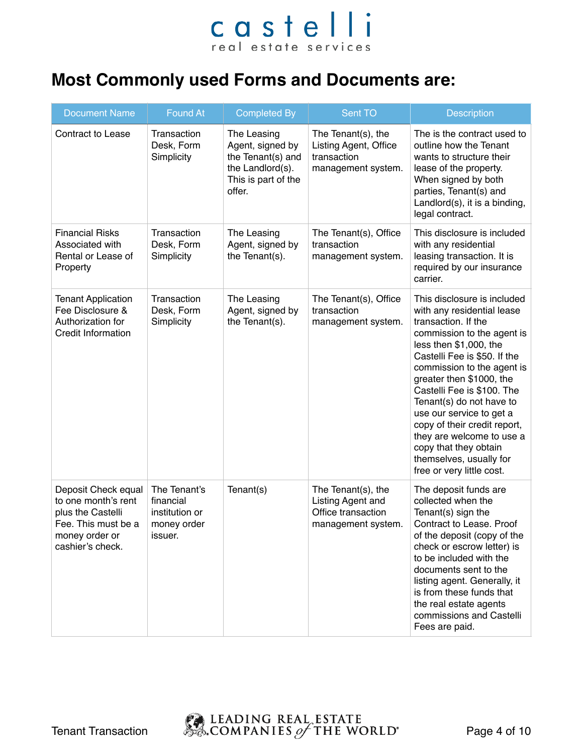### **Most Commonly used Forms and Documents are:**

| <b>Document Name</b>                                                                                                         | <b>Found At</b>                                                       | <b>Completed By</b>                                                                                       | <b>Sent TO</b>                                                                      | <b>Description</b>                                                                                                                                                                                                                                                                                                                                                                                                                                                     |
|------------------------------------------------------------------------------------------------------------------------------|-----------------------------------------------------------------------|-----------------------------------------------------------------------------------------------------------|-------------------------------------------------------------------------------------|------------------------------------------------------------------------------------------------------------------------------------------------------------------------------------------------------------------------------------------------------------------------------------------------------------------------------------------------------------------------------------------------------------------------------------------------------------------------|
| <b>Contract to Lease</b>                                                                                                     | Transaction<br>Desk, Form<br>Simplicity                               | The Leasing<br>Agent, signed by<br>the Tenant(s) and<br>the Landlord(s).<br>This is part of the<br>offer. | The Tenant(s), the<br>Listing Agent, Office<br>transaction<br>management system.    | The is the contract used to<br>outline how the Tenant<br>wants to structure their<br>lease of the property.<br>When signed by both<br>parties, Tenant(s) and<br>Landlord(s), it is a binding,<br>legal contract.                                                                                                                                                                                                                                                       |
| <b>Financial Risks</b><br>Associated with<br>Rental or Lease of<br>Property                                                  | Transaction<br>Desk, Form<br>Simplicity                               | The Leasing<br>Agent, signed by<br>the Tenant(s).                                                         | The Tenant(s), Office<br>transaction<br>management system.                          | This disclosure is included<br>with any residential<br>leasing transaction. It is<br>required by our insurance<br>carrier.                                                                                                                                                                                                                                                                                                                                             |
| <b>Tenant Application</b><br>Fee Disclosure &<br>Authorization for<br><b>Credit Information</b>                              | Transaction<br>Desk, Form<br>Simplicity                               | The Leasing<br>Agent, signed by<br>the Tenant(s).                                                         | The Tenant(s), Office<br>transaction<br>management system.                          | This disclosure is included<br>with any residential lease<br>transaction. If the<br>commission to the agent is<br>less then \$1,000, the<br>Castelli Fee is \$50. If the<br>commission to the agent is<br>greater then \$1000, the<br>Castelli Fee is \$100. The<br>Tenant(s) do not have to<br>use our service to get a<br>copy of their credit report,<br>they are welcome to use a<br>copy that they obtain<br>themselves, usually for<br>free or very little cost. |
| Deposit Check equal<br>to one month's rent<br>plus the Castelli<br>Fee. This must be a<br>money order or<br>cashier's check. | The Tenant's<br>financial<br>institution or<br>money order<br>issuer. | Tenant(s)                                                                                                 | The Tenant(s), the<br>Listing Agent and<br>Office transaction<br>management system. | The deposit funds are<br>collected when the<br>Tenant(s) sign the<br>Contract to Lease. Proof<br>of the deposit (copy of the<br>check or escrow letter) is<br>to be included with the<br>documents sent to the<br>listing agent. Generally, it<br>is from these funds that<br>the real estate agents<br>commissions and Castelli<br>Fees are paid.                                                                                                                     |

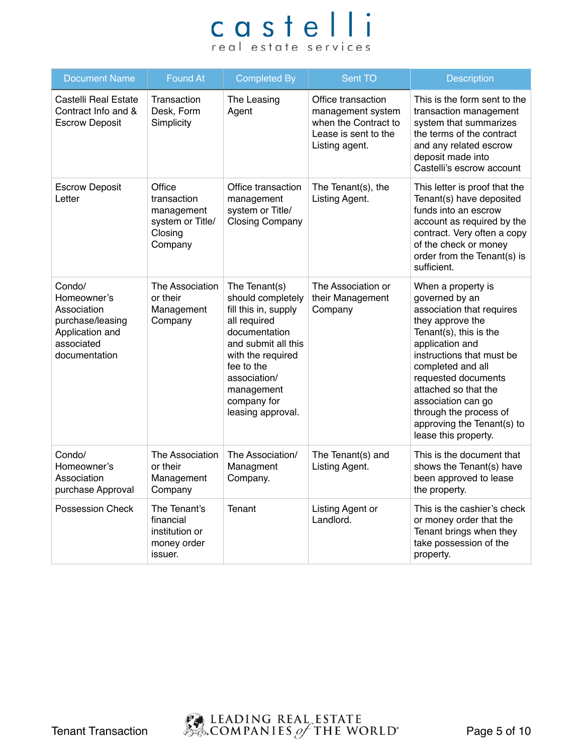| <b>Document Name</b>                                                                                       | <b>Found At</b>                                                               | <b>Completed By</b>                                                                                                                                                                                                     | Sent TO                                                                                                   | <b>Description</b>                                                                                                                                                                                                                                                                                                                        |
|------------------------------------------------------------------------------------------------------------|-------------------------------------------------------------------------------|-------------------------------------------------------------------------------------------------------------------------------------------------------------------------------------------------------------------------|-----------------------------------------------------------------------------------------------------------|-------------------------------------------------------------------------------------------------------------------------------------------------------------------------------------------------------------------------------------------------------------------------------------------------------------------------------------------|
| Castelli Real Estate<br>Contract Info and &<br><b>Escrow Deposit</b>                                       | Transaction<br>Desk, Form<br>Simplicity                                       | The Leasing<br>Agent                                                                                                                                                                                                    | Office transaction<br>management system<br>when the Contract to<br>Lease is sent to the<br>Listing agent. | This is the form sent to the<br>transaction management<br>system that summarizes<br>the terms of the contract<br>and any related escrow<br>deposit made into<br>Castelli's escrow account                                                                                                                                                 |
| <b>Escrow Deposit</b><br>Letter                                                                            | Office<br>transaction<br>management<br>system or Title/<br>Closing<br>Company | Office transaction<br>management<br>system or Title/<br><b>Closing Company</b>                                                                                                                                          | The Tenant(s), the<br>Listing Agent.                                                                      | This letter is proof that the<br>Tenant(s) have deposited<br>funds into an escrow<br>account as required by the<br>contract. Very often a copy<br>of the check or money<br>order from the Tenant(s) is<br>sufficient.                                                                                                                     |
| Condo/<br>Homeowner's<br>Association<br>purchase/leasing<br>Application and<br>associated<br>documentation | The Association<br>or their<br>Management<br>Company                          | The Tenant(s)<br>should completely<br>fill this in, supply<br>all required<br>documentation<br>and submit all this<br>with the required<br>fee to the<br>association/<br>management<br>company for<br>leasing approval. | The Association or<br>their Management<br>Company                                                         | When a property is<br>governed by an<br>association that requires<br>they approve the<br>Tenant(s), this is the<br>application and<br>instructions that must be<br>completed and all<br>requested documents<br>attached so that the<br>association can go<br>through the process of<br>approving the Tenant(s) to<br>lease this property. |
| Condo/<br>Homeowner's<br>Association<br>purchase Approval                                                  | The Association<br>or their<br>Management<br>Company                          | The Association/<br>Managment<br>Company.                                                                                                                                                                               | The Tenant(s) and<br>Listing Agent.                                                                       | This is the document that<br>shows the Tenant(s) have<br>been approved to lease<br>the property.                                                                                                                                                                                                                                          |
| Possession Check                                                                                           | The Tenant's<br>financial<br>institution or<br>money order<br>issuer.         | Tenant                                                                                                                                                                                                                  | Listing Agent or<br>Landlord.                                                                             | This is the cashier's check<br>or money order that the<br>Tenant brings when they<br>take possession of the<br>property.                                                                                                                                                                                                                  |

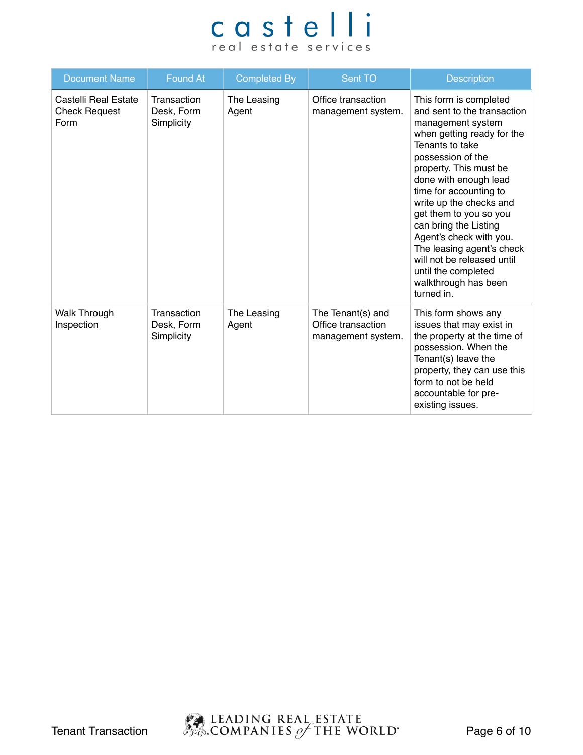| <b>Document Name</b>                                 | <b>Found At</b>                         | <b>Completed By</b>  | Sent TO                                                       | <b>Description</b>                                                                                                                                                                                                                                                                                                                                                                                                                                             |
|------------------------------------------------------|-----------------------------------------|----------------------|---------------------------------------------------------------|----------------------------------------------------------------------------------------------------------------------------------------------------------------------------------------------------------------------------------------------------------------------------------------------------------------------------------------------------------------------------------------------------------------------------------------------------------------|
| Castelli Real Estate<br><b>Check Request</b><br>Form | Transaction<br>Desk, Form<br>Simplicity | The Leasing<br>Agent | Office transaction<br>management system.                      | This form is completed<br>and sent to the transaction<br>management system<br>when getting ready for the<br>Tenants to take<br>possession of the<br>property. This must be<br>done with enough lead<br>time for accounting to<br>write up the checks and<br>get them to you so you<br>can bring the Listing<br>Agent's check with you.<br>The leasing agent's check<br>will not be released until<br>until the completed<br>walkthrough has been<br>turned in. |
| <b>Walk Through</b><br>Inspection                    | Transaction<br>Desk, Form<br>Simplicity | The Leasing<br>Agent | The Tenant(s) and<br>Office transaction<br>management system. | This form shows any<br>issues that may exist in<br>the property at the time of<br>possession. When the<br>Tenant(s) leave the<br>property, they can use this<br>form to not be held<br>accountable for pre-<br>existing issues.                                                                                                                                                                                                                                |

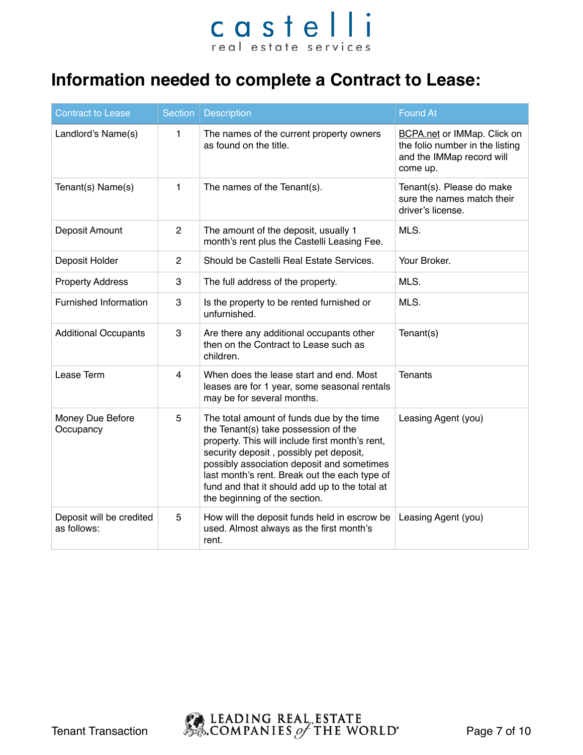### **Information needed to complete a Contract to Lease:**

| <b>Contract to Lease</b>                | Section        | <b>Description</b>                                                                                                                                                                                                                                                                                                                                                | <b>Found At</b>                                                                                                |
|-----------------------------------------|----------------|-------------------------------------------------------------------------------------------------------------------------------------------------------------------------------------------------------------------------------------------------------------------------------------------------------------------------------------------------------------------|----------------------------------------------------------------------------------------------------------------|
| Landlord's Name(s)                      | 1.             | The names of the current property owners<br>as found on the title.                                                                                                                                                                                                                                                                                                | <b>BCPA.net or IMMap. Click on</b><br>the folio number in the listing<br>and the IMMap record will<br>come up. |
| Tenant(s) Name(s)                       | 1              | The names of the Tenant(s).                                                                                                                                                                                                                                                                                                                                       | Tenant(s). Please do make<br>sure the names match their<br>driver's license.                                   |
| Deposit Amount                          | $\overline{2}$ | The amount of the deposit, usually 1<br>month's rent plus the Castelli Leasing Fee.                                                                                                                                                                                                                                                                               | MLS.                                                                                                           |
| Deposit Holder                          | $\overline{c}$ | Should be Castelli Real Estate Services.                                                                                                                                                                                                                                                                                                                          | Your Broker.                                                                                                   |
| <b>Property Address</b>                 | 3              | The full address of the property.                                                                                                                                                                                                                                                                                                                                 | MLS.                                                                                                           |
| Furnished Information                   | 3              | Is the property to be rented furnished or<br>unfurnished.                                                                                                                                                                                                                                                                                                         | MLS.                                                                                                           |
| <b>Additional Occupants</b>             | 3              | Are there any additional occupants other<br>then on the Contract to Lease such as<br>children.                                                                                                                                                                                                                                                                    | Tenant(s)                                                                                                      |
| Lease Term                              | 4              | When does the lease start and end. Most<br>leases are for 1 year, some seasonal rentals<br>may be for several months.                                                                                                                                                                                                                                             | <b>Tenants</b>                                                                                                 |
| Money Due Before<br>Occupancy           | 5              | The total amount of funds due by the time<br>the Tenant(s) take possession of the<br>property. This will include first month's rent,<br>security deposit, possibly pet deposit,<br>possibly association deposit and sometimes<br>last month's rent. Break out the each type of<br>fund and that it should add up to the total at<br>the beginning of the section. | Leasing Agent (you)                                                                                            |
| Deposit will be credited<br>as follows: | 5              | How will the deposit funds held in escrow be<br>used. Almost always as the first month's<br>rent.                                                                                                                                                                                                                                                                 | Leasing Agent (you)                                                                                            |

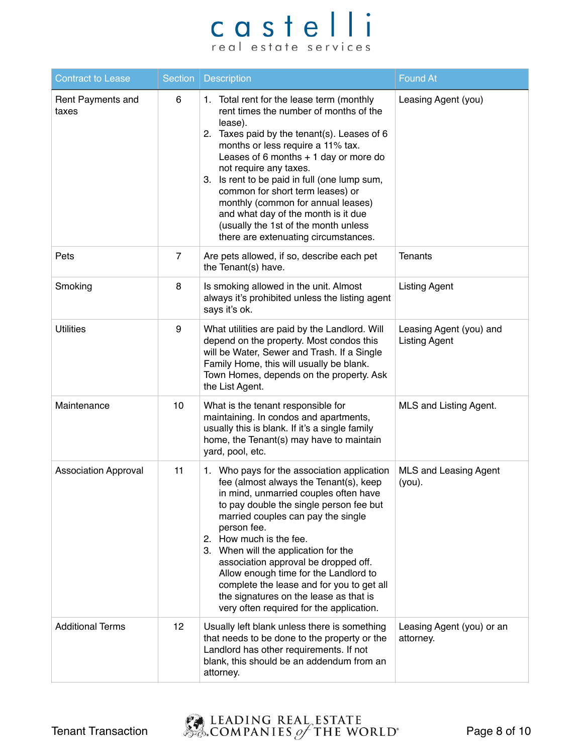| <b>Contract to Lease</b>    | Section        | <b>Description</b>                                                                                                                                                                                                                                                                                                                                                                                                                                                                                                       | <b>Found At</b>                                 |
|-----------------------------|----------------|--------------------------------------------------------------------------------------------------------------------------------------------------------------------------------------------------------------------------------------------------------------------------------------------------------------------------------------------------------------------------------------------------------------------------------------------------------------------------------------------------------------------------|-------------------------------------------------|
| Rent Payments and<br>taxes  | 6              | 1. Total rent for the lease term (monthly<br>rent times the number of months of the<br>lease).<br>2. Taxes paid by the tenant(s). Leases of 6<br>months or less require a 11% tax.<br>Leases of 6 months $+1$ day or more do<br>not require any taxes.<br>3. Is rent to be paid in full (one lump sum,<br>common for short term leases) or<br>monthly (common for annual leases)<br>and what day of the month is it due<br>(usually the 1st of the month unless<br>there are extenuating circumstances.                  | Leasing Agent (you)                             |
| Pets                        | $\overline{7}$ | Are pets allowed, if so, describe each pet<br>the Tenant(s) have.                                                                                                                                                                                                                                                                                                                                                                                                                                                        | <b>Tenants</b>                                  |
| Smoking                     | 8              | Is smoking allowed in the unit. Almost<br>always it's prohibited unless the listing agent<br>says it's ok.                                                                                                                                                                                                                                                                                                                                                                                                               | <b>Listing Agent</b>                            |
| <b>Utilities</b>            | 9              | What utilities are paid by the Landlord. Will<br>depend on the property. Most condos this<br>will be Water, Sewer and Trash. If a Single<br>Family Home, this will usually be blank.<br>Town Homes, depends on the property. Ask<br>the List Agent.                                                                                                                                                                                                                                                                      | Leasing Agent (you) and<br><b>Listing Agent</b> |
| Maintenance                 | 10             | What is the tenant responsible for<br>maintaining. In condos and apartments,<br>usually this is blank. If it's a single family<br>home, the Tenant(s) may have to maintain<br>yard, pool, etc.                                                                                                                                                                                                                                                                                                                           | MLS and Listing Agent.                          |
| <b>Association Approval</b> | 11             | 1. Who pays for the association application<br>fee (almost always the Tenant(s), keep<br>in mind, unmarried couples often have<br>to pay double the single person fee but<br>married couples can pay the single<br>person fee.<br>How much is the fee.<br>2.<br>3. When will the application for the<br>association approval be dropped off.<br>Allow enough time for the Landlord to<br>complete the lease and for you to get all<br>the signatures on the lease as that is<br>very often required for the application. | <b>MLS and Leasing Agent</b><br>$(you)$ .       |
| <b>Additional Terms</b>     | 12             | Usually left blank unless there is something<br>that needs to be done to the property or the<br>Landlord has other requirements. If not<br>blank, this should be an addendum from an<br>attorney.                                                                                                                                                                                                                                                                                                                        | Leasing Agent (you) or an<br>attorney.          |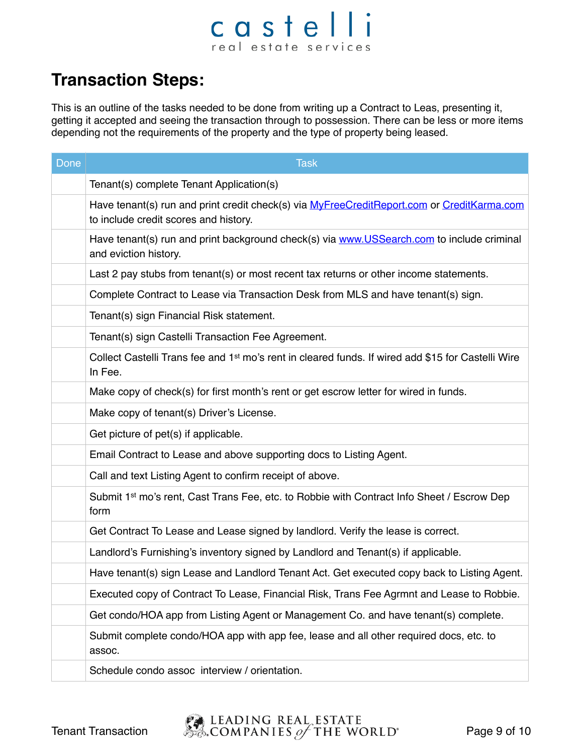### castelli real estate services

### **Transaction Steps:**

This is an outline of the tasks needed to be done from writing up a Contract to Leas, presenting it, getting it accepted and seeing the transaction through to possession. There can be less or more items depending not the requirements of the property and the type of property being leased.

| Done | <b>Task</b>                                                                                                                         |
|------|-------------------------------------------------------------------------------------------------------------------------------------|
|      | Tenant(s) complete Tenant Application(s)                                                                                            |
|      | Have tenant(s) run and print credit check(s) via MyFreeCreditReport.com or CreditKarma.com<br>to include credit scores and history. |
|      | Have tenant(s) run and print background check(s) via www.USSearch.com to include criminal<br>and eviction history.                  |
|      | Last 2 pay stubs from tenant(s) or most recent tax returns or other income statements.                                              |
|      | Complete Contract to Lease via Transaction Desk from MLS and have tenant(s) sign.                                                   |
|      | Tenant(s) sign Financial Risk statement.                                                                                            |
|      | Tenant(s) sign Castelli Transaction Fee Agreement.                                                                                  |
|      | Collect Castelli Trans fee and 1 <sup>st</sup> mo's rent in cleared funds. If wired add \$15 for Castelli Wire<br>In Fee.           |
|      | Make copy of check(s) for first month's rent or get escrow letter for wired in funds.                                               |
|      | Make copy of tenant(s) Driver's License.                                                                                            |
|      | Get picture of pet(s) if applicable.                                                                                                |
|      | Email Contract to Lease and above supporting docs to Listing Agent.                                                                 |
|      | Call and text Listing Agent to confirm receipt of above.                                                                            |
|      | Submit 1 <sup>st</sup> mo's rent, Cast Trans Fee, etc. to Robbie with Contract Info Sheet / Escrow Dep<br>form                      |
|      | Get Contract To Lease and Lease signed by landlord. Verify the lease is correct.                                                    |
|      | Landlord's Furnishing's inventory signed by Landlord and Tenant(s) if applicable.                                                   |
|      | Have tenant(s) sign Lease and Landlord Tenant Act. Get executed copy back to Listing Agent.                                         |
|      | Executed copy of Contract To Lease, Financial Risk, Trans Fee Agrmnt and Lease to Robbie.                                           |
|      | Get condo/HOA app from Listing Agent or Management Co. and have tenant(s) complete.                                                 |
|      | Submit complete condo/HOA app with app fee, lease and all other required docs, etc. to<br>assoc.                                    |
|      | Schedule condo assoc interview / orientation.                                                                                       |